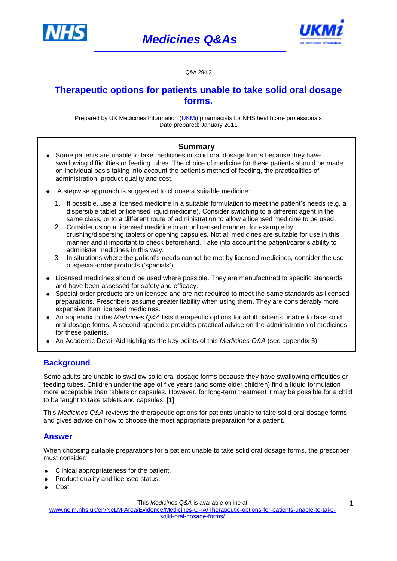



 $\bigcap$ R $\triangle$  294.2

# **Therapeutic options for patients unable to take solid oral dosage forms.**

Prepared by UK Medicines Information [\(UKMi\)](http://www.ukmi.nhs.uk/ukmi/about/default.asp?pageRef=1) pharmacists for NHS healthcare professionals Date prepared: January 2011

### **Summary**

- Some patients are unable to take medicines in solid oral dosage forms because they have  $\bullet$ swallowing difficulties or feeding tubes. The choice of medicine for these patients should be made on individual basis taking into account the patient's method of feeding, the practicalities of administration, product quality and cost.
- A stepwise approach is suggested to choose a suitable medicine:
	- 1. If possible, use a licensed medicine in a suitable formulation to meet the patient's needs (e.g. a dispersible tablet or licensed liquid medicine). Consider switching to a different agent in the same class, or to a different route of administration to allow a licensed medicine to be used.
	- 2. Consider using a licensed medicine in an unlicensed manner, for example by crushing/dispersing tablets or opening capsules. Not all medicines are suitable for use in this manner and it important to check beforehand. Take into account the patient/carer's ability to administer medicines in this way.
	- 3. In situations where the patient's needs cannot be met by licensed medicines, consider the use of special-order products ('specials').
- Licensed medicines should be used where possible. They are manufactured to specific standards and have been assessed for safety and efficacy.
- Special-order products are unlicensed and are not required to meet the same standards as licensed preparations. Prescribers assume greater liability when using them. They are considerably more expensive than licensed medicines.
- An appendix to this *Medicines Q&A* lists therapeutic options for adult patients unable to take solid oral dosage forms. A second appendix provides practical advice on the administration of medicines for these patients.
- An Academic Detail Aid highlights the key points of this *Medicines Q&A* (see appendix 3).

## **Background**

Some adults are unable to swallow solid oral dosage forms because they have swallowing difficulties or feeding tubes. Children under the age of five years (and some older children) find a liquid formulation more acceptable than tablets or capsules. However, for long-term treatment it may be possible for a child to be taught to take tablets and capsules. [1]

This *Medicines Q&A* reviews the therapeutic options for patients unable to take solid oral dosage forms, and gives advice on how to choose the most appropriate preparation for a patient.

### **Answer**

When choosing suitable preparations for a patient unable to take solid oral dosage forms, the prescriber must consider:

- Clinical appropriateness for the patient,
- Product quality and licensed status,
- Cost.

This *Medicines Q&A* is available online at

1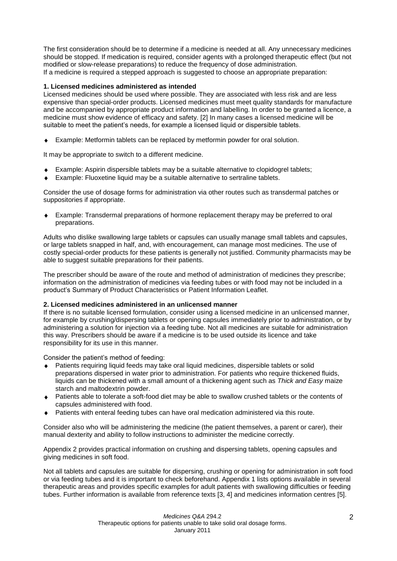The first consideration should be to determine if a medicine is needed at all. Any unnecessary medicines should be stopped. If medication is required, consider agents with a prolonged therapeutic effect (but not modified or slow-release preparations) to reduce the frequency of dose administration. If a medicine is required a stepped approach is suggested to choose an appropriate preparation:

### **1. Licensed medicines administered as intended**

Licensed medicines should be used where possible. They are associated with less risk and are less expensive than special-order products. Licensed medicines must meet quality standards for manufacture and be accompanied by appropriate product information and labelling. In order to be granted a licence, a medicine must show evidence of efficacy and safety. [2] In many cases a licensed medicine will be suitable to meet the patient's needs, for example a licensed liquid or dispersible tablets.

Example: Metformin tablets can be replaced by metformin powder for oral solution.

It may be appropriate to switch to a different medicine.

- Example: Aspirin dispersible tablets may be a suitable alternative to clopidogrel tablets;
- Example: Fluoxetine liquid may be a suitable alternative to sertraline tablets.

Consider the use of dosage forms for administration via other routes such as transdermal patches or suppositories if appropriate.

Example: Transdermal preparations of hormone replacement therapy may be preferred to oral preparations.

Adults who dislike swallowing large tablets or capsules can usually manage small tablets and capsules, or large tablets snapped in half, and, with encouragement, can manage most medicines. The use of costly special-order products for these patients is generally not justified. Community pharmacists may be able to suggest suitable preparations for their patients.

The prescriber should be aware of the route and method of administration of medicines they prescribe; information on the administration of medicines via feeding tubes or with food may not be included in a product's Summary of Product Characteristics or Patient Information Leaflet.

### **2. Licensed medicines administered in an unlicensed manner**

If there is no suitable licensed formulation, consider using a licensed medicine in an unlicensed manner, for example by crushing/dispersing tablets or opening capsules immediately prior to administration, or by administering a solution for injection via a feeding tube. Not all medicines are suitable for administration this way. Prescribers should be aware if a medicine is to be used outside its licence and take responsibility for its use in this manner.

Consider the patient's method of feeding:

- Patients requiring liquid feeds may take oral liquid medicines, dispersible tablets or solid preparations dispersed in water prior to administration. For patients who require thickened fluids, liquids can be thickened with a small amount of a thickening agent such as *Thick and Easy* maize starch and maltodextrin powder.
- Patients able to tolerate a soft-food diet may be able to swallow crushed tablets or the contents of capsules administered with food.
- Patients with enteral feeding tubes can have oral medication administered via this route.

Consider also who will be administering the medicine (the patient themselves, a parent or carer), their manual dexterity and ability to follow instructions to administer the medicine correctly.

Appendix 2 provides practical information on crushing and dispersing tablets, opening capsules and giving medicines in soft food.

Not all tablets and capsules are suitable for dispersing, crushing or opening for administration in soft food or via feeding tubes and it is important to check beforehand. Appendix 1 lists options available in several therapeutic areas and provides specific examples for adult patients with swallowing difficulties or feeding tubes. Further information is available from reference texts [3, 4] and medicines information centres [5].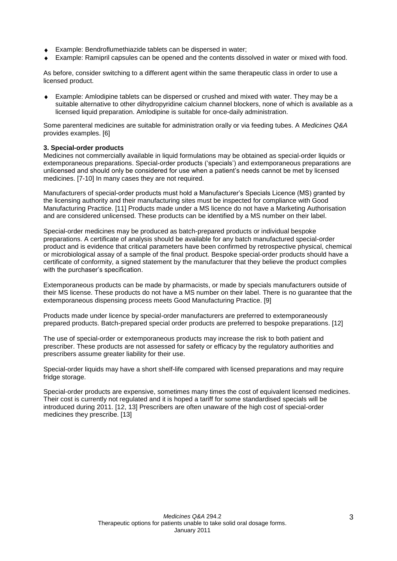- Example: Bendroflumethiazide tablets can be dispersed in water;
- Example: Ramipril capsules can be opened and the contents dissolved in water or mixed with food.

As before, consider switching to a different agent within the same therapeutic class in order to use a licensed product.

Example: Amlodipine tablets can be dispersed or crushed and mixed with water. They may be a suitable alternative to other dihydropyridine calcium channel blockers, none of which is available as a licensed liquid preparation. Amlodipine is suitable for once-daily administration.

Some parenteral medicines are suitable for administration orally or via feeding tubes. A *Medicines Q&A* provides examples. [6]

#### **3. Special-order products**

Medicines not commercially available in liquid formulations may be obtained as special-order liquids or extemporaneous preparations. Special-order products ('specials') and extemporaneous preparations are unlicensed and should only be considered for use when a patient's needs cannot be met by licensed medicines. [7-10] In many cases they are not required.

Manufacturers of special-order products must hold a Manufacturer's Specials Licence (MS) granted by the licensing authority and their manufacturing sites must be inspected for compliance with Good Manufacturing Practice. [11] Products made under a MS licence do not have a Marketing Authorisation and are considered unlicensed. These products can be identified by a MS number on their label.

Special-order medicines may be produced as batch-prepared products or individual bespoke preparations. A certificate of analysis should be available for any batch manufactured special-order product and is evidence that critical parameters have been confirmed by retrospective physical, chemical or microbiological assay of a sample of the final product. Bespoke special-order products should have a certificate of conformity, a signed statement by the manufacturer that they believe the product complies with the purchaser's specification.

Extemporaneous products can be made by pharmacists, or made by specials manufacturers outside of their MS license. These products do not have a MS number on their label. There is no guarantee that the extemporaneous dispensing process meets Good Manufacturing Practice. [9]

Products made under licence by special-order manufacturers are preferred to extemporaneously prepared products. Batch-prepared special order products are preferred to bespoke preparations. [12]

The use of special-order or extemporaneous products may increase the risk to both patient and prescriber. These products are not assessed for safety or efficacy by the regulatory authorities and prescribers assume greater liability for their use.

Special-order liquids may have a short shelf-life compared with licensed preparations and may require fridge storage.

Special-order products are expensive, sometimes many times the cost of equivalent licensed medicines. Their cost is currently not regulated and it is hoped a tariff for some standardised specials will be introduced during 2011. [12, 13] Prescribers are often unaware of the high cost of special-order medicines they prescribe. [13]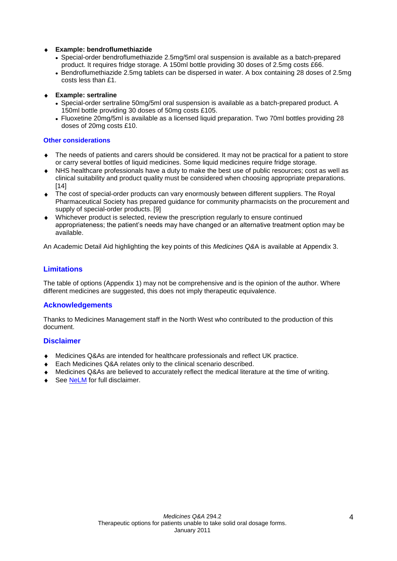#### **Example: bendroflumethiazide**   $\bullet$

- Special-order bendroflumethiazide 2.5mg/5ml oral suspension is available as a batch-prepared product. It requires fridge storage. A 150ml bottle providing 30 doses of 2.5mg costs £66.
- Bendroflumethiazide 2.5mg tablets can be dispersed in water. A box containing 28 doses of 2.5mg costs less than £1.

### **Example: sertraline**

- Special-order sertraline 50mg/5ml oral suspension is available as a batch-prepared product. A 150ml bottle providing 30 doses of 50mg costs £105.
- Fluoxetine 20mg/5ml is available as a licensed liquid preparation. Two 70ml bottles providing 28 doses of 20mg costs £10.

#### **Other considerations**

- The needs of patients and carers should be considered. It may not be practical for a patient to store or carry several bottles of liquid medicines. Some liquid medicines require fridge storage.
- NHS healthcare professionals have a duty to make the best use of public resources; cost as well as clinical suitability and product quality must be considered when choosing appropriate preparations. [14]
- The cost of special-order products can vary enormously between different suppliers. The Royal Pharmaceutical Society has prepared guidance for community pharmacists on the procurement and supply of special-order products. [9]
- Whichever product is selected, review the prescription regularly to ensure continued appropriateness; the patient's needs may have changed or an alternative treatment option may be available.

An Academic Detail Aid highlighting the key points of this *Medicines Q&*A is available at Appendix 3.

### **Limitations**

The table of options (Appendix 1) may not be comprehensive and is the opinion of the author. Where different medicines are suggested, this does not imply therapeutic equivalence.

### **Acknowledgements**

Thanks to Medicines Management staff in the North West who contributed to the production of this document.

### **Disclaimer**

- Medicines Q&As are intended for healthcare professionals and reflect UK practice.
- ◆ Each Medicines Q&A relates only to the clinical scenario described.
- Medicines Q&As are believed to accurately reflect the medical literature at the time of writing.
- ◆ See [NeLM](http://www.nelm.nhs.uk/search/product.aspx?id=116) for full disclaimer.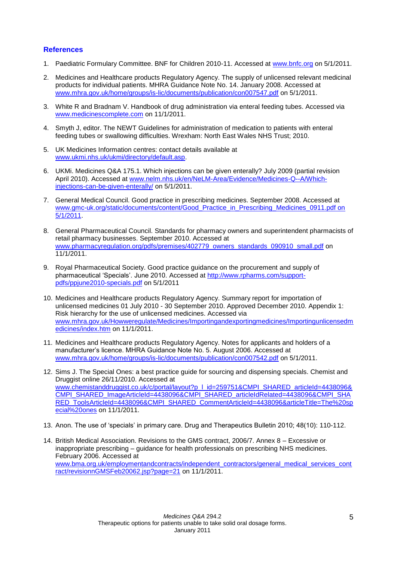### **References**

- 1. Paediatric Formulary Committee. BNF for Children 2010-11. Accessed at [www.bnfc.org](http://www.bnfc.org/) on 5/1/2011.
- 2. Medicines and Healthcare products Regulatory Agency. The supply of unlicensed relevant medicinal products for individual patients. MHRA Guidance Note No. 14. January 2008. Accessed at [www.mhra.gov.uk/home/groups/is-lic/documents/publication/con007547.pdf](http://www.mhra.gov.uk/home/groups/is-lic/documents/publication/con007547.pdf) on 5/1/2011.
- 3. White R and Bradnam V. Handbook of drug administration via enteral feeding tubes. Accessed via [www.medicinescomplete.com](http://www.medicinescomplete.com/) on 11/1/2011.
- 4. Smyth J, editor. The NEWT Guidelines for administration of medication to patients with enteral feeding tubes or swallowing difficulties. Wrexham: North East Wales NHS Trust; 2010.
- 5. UK Medicines Information centres: contact details available at [www.ukmi.nhs.uk/ukmi/directory/default.asp.](http://www.ukmi.nhs.uk/ukmi/directory/default.asp)
- 6. UKMi. Medicines Q&A 175.1. Which injections can be given enterally? July 2009 (partial revision April 2010). Accessed at [www.nelm.nhs.uk/en/NeLM-Area/Evidence/Medicines-Q--A/Which](http://www.nelm.nhs.uk/en/NeLM-Area/Evidence/Medicines-Q--A/Which-injections-can-be-given-enterally/)[injections-can-be-given-enterally/](http://www.nelm.nhs.uk/en/NeLM-Area/Evidence/Medicines-Q--A/Which-injections-can-be-given-enterally/) on 5/1/2011.
- 7. General Medical Council. Good practice in prescribing medicines. September 2008. Accessed at www.gmc-uk.org/static/documents/content/Good\_Practice\_in\_Prescribing\_Medicines\_0911.pdf on [5/1/2011.](http://www.gmc-uk.org/static/documents/content/Good_Practice_in_Prescribing_Medicines_0911.pdf%20on%205/1/2011)
- 8. General Pharmaceutical Council. Standards for pharmacy owners and superintendent pharmacists of retail pharmacy businesses. September 2010. Accessed at [www.pharmacyregulation.org/pdfs/premises/402779\\_owners\\_standards\\_090910\\_small.pdf](http://www.pharmacyregulation.org/pdfs/premises/402779_owners_standards_090910_small.pdf) on 11/1/2011.
- 9. Royal Pharmaceutical Society. Good practice guidance on the procurement and supply of pharmaceutical 'Specials'. June 2010. Accessed at [http://www.rpharms.com/support](http://www.rpharms.com/support-pdfs/ppjune2010-specials.pdf)[pdfs/ppjune2010-specials.pdf](http://www.rpharms.com/support-pdfs/ppjune2010-specials.pdf) on 5/1/2011
- 10. Medicines and Healthcare products Regulatory Agency. Summary report for importation of unlicensed medicines 01 July 2010 - 30 September 2010. Approved December 2010. Appendix 1: Risk hierarchy for the use of unlicensed medicines. Accessed via [www.mhra.gov.uk/Howweregulate/Medicines/Importingandexportingmedicines/Importingunlicensedm](http://www.mhra.gov.uk/Howweregulate/Medicines/Importingandexportingmedicines/Importingunlicensedmedicines/index.htm) [edicines/index.htm](http://www.mhra.gov.uk/Howweregulate/Medicines/Importingandexportingmedicines/Importingunlicensedmedicines/index.htm) on 11/1/2011.
- 11. Medicines and Healthcare products Regulatory Agency. Notes for applicants and holders of a manufacturer's licence. MHRA Guidance Note No. 5. August 2006. Accessed at [www.mhra.gov.uk/home/groups/is-lic/documents/publication/con007542.pdf](http://www.mhra.gov.uk/home/groups/is-lic/documents/publication/con007542.pdf) on 5/1/2011.
- 12. Sims J. The Special Ones: a best practice guide for sourcing and dispensing specials. Chemist and Druggist online 26/11/2010. Accessed at www.chemistanddruggist.co.uk/c/portal/layout?p\_I\_id=259751&CMPI\_SHARED\_articleId=4438096& [CMPI\\_SHARED\\_ImageArticleId=4438096&CMPI\\_SHARED\\_articleIdRelated=4438096&CMPI\\_SHA](http://www.chemistanddruggist.co.uk/c/portal/layout?p_l_id=259751&CMPI_SHARED_articleId=4438096&CMPI_SHARED_ImageArticleId=4438096&CMPI_SHARED_articleIdRelated=4438096&CMPI_SHARED_ToolsArticleId=4438096&CMPI_SHARED_CommentArticleId=4438096&articleTitle=The%20special%20ones) [RED\\_ToolsArticleId=4438096&CMPI\\_SHARED\\_CommentArticleId=4438096&articleTitle=The%20sp](http://www.chemistanddruggist.co.uk/c/portal/layout?p_l_id=259751&CMPI_SHARED_articleId=4438096&CMPI_SHARED_ImageArticleId=4438096&CMPI_SHARED_articleIdRelated=4438096&CMPI_SHARED_ToolsArticleId=4438096&CMPI_SHARED_CommentArticleId=4438096&articleTitle=The%20special%20ones) [ecial%20ones](http://www.chemistanddruggist.co.uk/c/portal/layout?p_l_id=259751&CMPI_SHARED_articleId=4438096&CMPI_SHARED_ImageArticleId=4438096&CMPI_SHARED_articleIdRelated=4438096&CMPI_SHARED_ToolsArticleId=4438096&CMPI_SHARED_CommentArticleId=4438096&articleTitle=The%20special%20ones) on 11/1/2011.
- 13. Anon. The use of 'specials' in primary care. Drug and Therapeutics Bulletin 2010; 48(10): 110-112.
- 14. British Medical Association. Revisions to the GMS contract, 2006/7. Annex 8 Excessive or inappropriate prescribing – guidance for health professionals on prescribing NHS medicines. February 2006. Accessed at [www.bma.org.uk/employmentandcontracts/independent\\_contractors/general\\_medical\\_services\\_cont](http://www.bma.org.uk/employmentandcontracts/independent_contractors/general_medical_services_contract/revisionnGMSFeb20062.jsp?page=21) [ract/revisionnGMSFeb20062.jsp?page=21](http://www.bma.org.uk/employmentandcontracts/independent_contractors/general_medical_services_contract/revisionnGMSFeb20062.jsp?page=21) on 11/1/2011.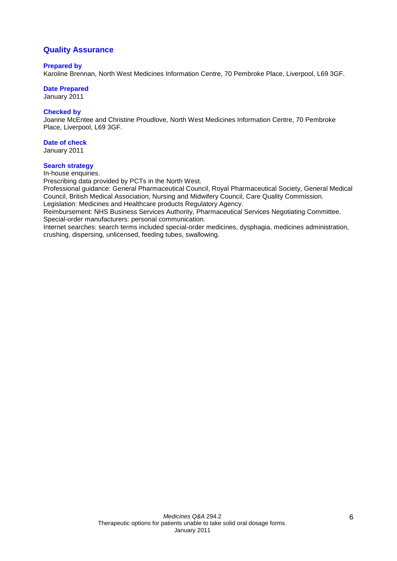### **Quality Assurance**

### **Prepared by**

Karoline Brennan, North West Medicines Information Centre, 70 Pembroke Place, Liverpool, L69 3GF.

#### **Date Prepared**

January 2011

#### **Checked by**

Joanne McEntee and Christine Proudlove, North West Medicines Information Centre, 70 Pembroke Place, Liverpool, L69 3GF.

#### **Date of check**

January 2011

### **Search strategy**

In-house enquiries.

Prescribing data provided by PCTs in the North West.

Professional guidance: General Pharmaceutical Council, Royal Pharmaceutical Society, General Medical Council, British Medical Association, Nursing and Midwifery Council, Care Quality Commission. Legislation: Medicines and Healthcare products Regulatory Agency.

Reimbursement: NHS Business Services Authority, Pharmaceutical Services Negotiating Committee. Special-order manufacturers: personal communication.

Internet searches: search terms included special-order medicines, dysphagia, medicines administration, crushing, dispersing, unlicensed, feeding tubes, swallowing.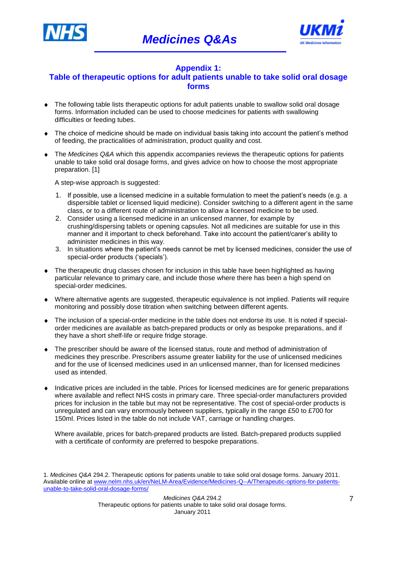



### **Appendix 1:**

### **Table of therapeutic options for adult patients unable to take solid oral dosage forms**

- $\bullet$ The following table lists therapeutic options for adult patients unable to swallow solid oral dosage forms. Information included can be used to choose medicines for patients with swallowing difficulties or feeding tubes.
- The choice of medicine should be made on individual basis taking into account the patient's method of feeding, the practicalities of administration, product quality and cost.
- The *Medicines Q&A* which this appendix accompanies reviews the therapeutic options for patients unable to take solid oral dosage forms, and gives advice on how to choose the most appropriate preparation. [1]

A step-wise approach is suggested:

- 1. If possible, use a licensed medicine in a suitable formulation to meet the patient's needs (e.g. a dispersible tablet or licensed liquid medicine). Consider switching to a different agent in the same class, or to a different route of administration to allow a licensed medicine to be used.
- 2. Consider using a licensed medicine in an unlicensed manner, for example by crushing/dispersing tablets or opening capsules. Not all medicines are suitable for use in this manner and it important to check beforehand. Take into account the patient/carer's ability to administer medicines in this way.
- 3. In situations where the patient's needs cannot be met by licensed medicines, consider the use of special-order products ('specials').
- The therapeutic drug classes chosen for inclusion in this table have been highlighted as having particular relevance to primary care, and include those where there has been a high spend on special-order medicines.
- Where alternative agents are suggested, therapeutic equivalence is not implied. Patients will require monitoring and possibly dose titration when switching between different agents.
- The inclusion of a special-order medicine in the table does not endorse its use. It is noted if specialorder medicines are available as batch-prepared products or only as bespoke preparations, and if they have a short shelf-life or require fridge storage.
- The prescriber should be aware of the licensed status, route and method of administration of medicines they prescribe. Prescribers assume greater liability for the use of unlicensed medicines and for the use of licensed medicines used in an unlicensed manner, than for licensed medicines used as intended.
- Indicative prices are included in the table. Prices for licensed medicines are for generic preparations where available and reflect NHS costs in primary care. Three special-order manufacturers provided prices for inclusion in the table but may not be representative. The cost of special-order products is unregulated and can vary enormously between suppliers, typically in the range £50 to £700 for 150ml. Prices listed in the table do not include VAT, carriage or handling charges.

Where available, prices for batch-prepared products are listed. Batch-prepared products supplied with a certificate of conformity are preferred to bespoke preparations.

1. *Medicines Q&A* 294.2. Therapeutic options for patients unable to take solid oral dosage forms. January 2011. Available online a[t www.nelm.nhs.uk/en/NeLM-Area/Evidence/Medicines-Q--A/Therapeutic-options-for-patients](http://www.nelm.nhs.uk/en/NeLM-Area/Evidence/Medicines-Q--A/Therapeutic-options-for-patients-unable-to-take-solid-oral-dosage-forms/)[unable-to-take-solid-oral-dosage-forms/](http://www.nelm.nhs.uk/en/NeLM-Area/Evidence/Medicines-Q--A/Therapeutic-options-for-patients-unable-to-take-solid-oral-dosage-forms/)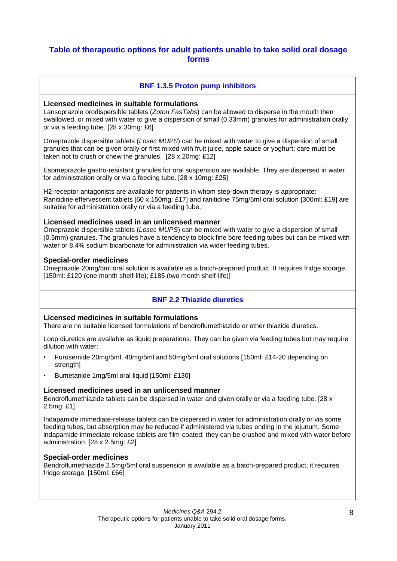## **Table of therapeutic options for adult patients unable to take solid oral dosage forms**

### **BNF 1.3.5 Proton pump inhibitors**

### **Licensed medicines in suitable formulations**

Lansoprazole orodispersible tablets (*Zoton FasTabs*) can be allowed to disperse in the mouth then swallowed, or mixed with water to give a dispersion of small (0.33mm) granules for administration orally or via a feeding tube. [28 x 30mg: £6]

Omeprazole dispersible tablets (*Losec MUPS*) can be mixed with water to give a dispersion of small granules that can be given orally or first mixed with fruit juice, apple sauce or yoghurt; care must be taken not to crush or chew the granules. [28 x 20mg: £12]

Esomeprazole gastro-resistant granules for oral suspension are available. They are dispersed in water for administration orally or via a feeding tube. [28 x 10mg: £25]

H2-receptor antagonists are available for patients in whom step-down therapy is appropriate: Ranitidine effervescent tablets [60 x 150mg: £17] and ranitidine 75mg/5ml oral solution [300ml: £19] are suitable for administration orally or via a feeding tube.

### **Licensed medicines used in an unlicensed manner**

Omeprazole dispersible tablets (*Losec MUPS*) can be mixed with water to give a dispersion of small (0.5mm) granules. The granules have a tendency to block fine bore feeding tubes but can be mixed with water or 8.4% sodium bicarbonate for administration via wider feeding tubes.

### **Special-order medicines**

Omeprazole 20mg/5ml oral solution is available as a batch-prepared product. It requires fridge storage. [150ml: £120 (one month shelf-life); £185 (two month shelf-life)]

### **BNF 2.2 Thiazide diuretics**

### **Licensed medicines in suitable formulations**

There are no suitable licensed formulations of bendroflumethiazide or other thiazide diuretics.

Loop diuretics are available as liquid preparations. They can be given via feeding tubes but may require dilution with water:

- Furosemide 20mg/5ml, 40mg/5ml and 50mg/5ml oral solutions [150ml: £14-20 depending on strength]
- Bumetanide 1mg/5ml oral liquid [150ml: £130]

### **Licensed medicines used in an unlicensed manner**

Bendroflumethiazide tablets can be dispersed in water and given orally or via a feeding tube. [28 x 2.5mg: £1]

Indapamide immediate-release tablets can be dispersed in water for administration orally or via some feeding tubes, but absorption may be reduced if administered via tubes ending in the jejunum. Some indapamide immediate-release tablets are film-coated; they can be crushed and mixed with water before administration. [28 x 2.5mg: £2]

### **Special-order medicines**

Bendroflumethiazide 2.5mg/5ml oral suspension is available as a batch-prepared product; it requires fridge storage. [150ml: £66]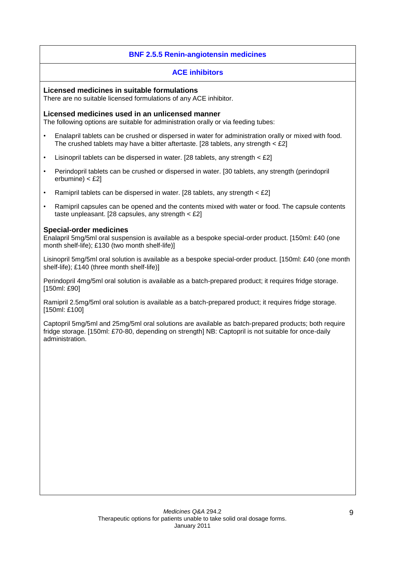### **BNF 2.5.5 Renin-angiotensin medicines**

### **ACE inhibitors**

### **Licensed medicines in suitable formulations**

There are no suitable licensed formulations of any ACE inhibitor.

### **Licensed medicines used in an unlicensed manner**

The following options are suitable for administration orally or via feeding tubes:

- Enalapril tablets can be crushed or dispersed in water for administration orally or mixed with food. The crushed tablets may have a bitter aftertaste. [28 tablets, any strength  $\leq$  £2]
- Lisinopril tablets can be dispersed in water. [28 tablets, any strength < £2]
- Perindopril tablets can be crushed or dispersed in water. [30 tablets, any strength (perindopril erbumine) < £2]
- Ramipril tablets can be dispersed in water. [28 tablets, any strength < £2]
- Ramipril capsules can be opened and the contents mixed with water or food. The capsule contents taste unpleasant. [28 capsules, any strength < £2]

### **Special-order medicines**

Enalapril 5mg/5ml oral suspension is available as a bespoke special-order product. [150ml: £40 (one month shelf-life); £130 (two month shelf-life)]

Lisinopril 5mg/5ml oral solution is available as a bespoke special-order product. [150ml: £40 (one month shelf-life); £140 (three month shelf-life)]

Perindopril 4mg/5ml oral solution is available as a batch-prepared product; it requires fridge storage. [150ml: £90]

Ramipril 2.5mg/5ml oral solution is available as a batch-prepared product; it requires fridge storage. [150ml: £100]

Captopril 5mg/5ml and 25mg/5ml oral solutions are available as batch-prepared products; both require fridge storage. [150ml: £70-80, depending on strength] NB: Captopril is not suitable for once-daily administration.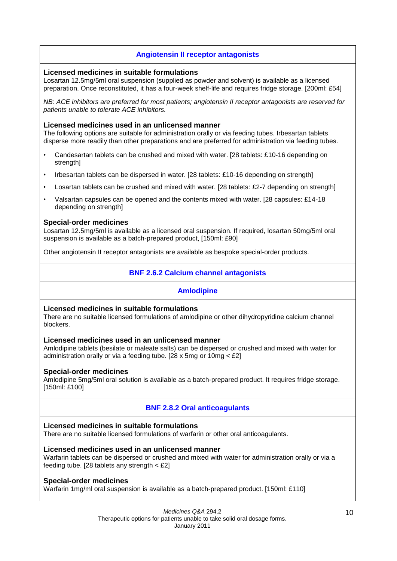### **Angiotensin II receptor antagonists**

### **Licensed medicines in suitable formulations**

Losartan 12.5mg/5ml oral suspension (supplied as powder and solvent) is available as a licensed preparation. Once reconstituted, it has a four-week shelf-life and requires fridge storage. [200ml: £54]

*NB: ACE inhibitors are preferred for most patients; angiotensin II receptor antagonists are reserved for patients unable to tolerate ACE inhibitors.*

### **Licensed medicines used in an unlicensed manner**

The following options are suitable for administration orally or via feeding tubes. Irbesartan tablets disperse more readily than other preparations and are preferred for administration via feeding tubes.

- Candesartan tablets can be crushed and mixed with water. [28 tablets: £10-16 depending on strength]
- Irbesartan tablets can be dispersed in water. [28 tablets: £10-16 depending on strength]
- Losartan tablets can be crushed and mixed with water. [28 tablets: £2-7 depending on strength]
- Valsartan capsules can be opened and the contents mixed with water. [28 capsules: £14-18 depending on strength]

### **Special-order medicines**

Losartan 12.5mg/5ml is available as a licensed oral suspension. If required, losartan 50mg/5ml oral suspension is available as a batch-prepared product, [150ml: £90]

Other angiotensin II receptor antagonists are available as bespoke special-order products.

### **BNF 2.6.2 Calcium channel antagonists**

### **Amlodipine**

### **Licensed medicines in suitable formulations**

There are no suitable licensed formulations of amlodipine or other dihydropyridine calcium channel blockers.

### **Licensed medicines used in an unlicensed manner**

Amlodipine tablets (besilate or maleate salts) can be dispersed or crushed and mixed with water for administration orally or via a feeding tube. [28 x 5mg or 10mg < £2]

### **Special-order medicines**

Amlodipine 5mg/5ml oral solution is available as a batch-prepared product. It requires fridge storage. [150ml: £100]

### **BNF 2.8.2 Oral anticoagulants**

### **Licensed medicines in suitable formulations**

There are no suitable licensed formulations of warfarin or other oral anticoagulants.

### **Licensed medicines used in an unlicensed manner**

Warfarin tablets can be dispersed or crushed and mixed with water for administration orally or via a feeding tube. [28 tablets any strength < £2]

### **Special-order medicines**

Warfarin 1mg/ml oral suspension is available as a batch-prepared product. [150ml: £110]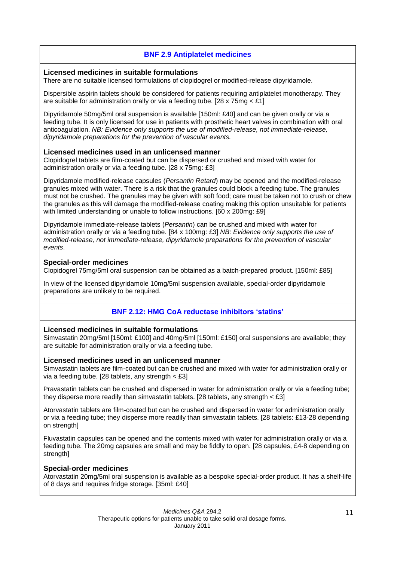### **BNF 2.9 Antiplatelet medicines**

### **Licensed medicines in suitable formulations**

There are no suitable licensed formulations of clopidogrel or modified-release dipyridamole.

Dispersible aspirin tablets should be considered for patients requiring antiplatelet monotherapy. They are suitable for administration orally or via a feeding tube. [28 x 75mg < £1]

Dipyridamole 50mg/5ml oral suspension is available [150ml: £40] and can be given orally or via a feeding tube. It is only licensed for use in patients with prosthetic heart valves in combination with oral anticoagulation. *NB: Evidence only supports the use of modified-release, not immediate-release, dipyridamole preparations for the prevention of vascular events.*

### **Licensed medicines used in an unlicensed manner**

Clopidogrel tablets are film-coated but can be dispersed or crushed and mixed with water for administration orally or via a feeding tube. [28 x 75mg: £3]

Dipyridamole modified-release capsules (*Persantin Retard*) may be opened and the modified-release granules mixed with water. There is a risk that the granules could block a feeding tube. The granules must not be crushed. The granules may be given with soft food; care must be taken not to crush or chew the granules as this will damage the modified-release coating making this option unsuitable for patients with limited understanding or unable to follow instructions. [60 x 200mg: £9]

Dipyridamole immediate-release tablets (*Persantin*) can be crushed and mixed with water for administration orally or via a feeding tube. [84 x 100mg: £3] *NB: Evidence only supports the use of modified-release, not immediate-release, dipyridamole preparations for the prevention of vascular events*.

### **Special-order medicines**

Clopidogrel 75mg/5ml oral suspension can be obtained as a batch-prepared product. [150ml: £85]

In view of the licensed dipyridamole 10mg/5ml suspension available, special-order dipyridamole preparations are unlikely to be required.

### **BNF 2.12: HMG CoA reductase inhibitors 'statins'**

### **Licensed medicines in suitable formulations**

Simvastatin 20mg/5ml [150ml: £100] and 40mg/5ml [150ml: £150] oral suspensions are available; they are suitable for administration orally or via a feeding tube.

### **Licensed medicines used in an unlicensed manner**

Simvastatin tablets are film-coated but can be crushed and mixed with water for administration orally or via a feeding tube. [28 tablets, any strength  $\lt$  £3]

Pravastatin tablets can be crushed and dispersed in water for administration orally or via a feeding tube; they disperse more readily than simvastatin tablets. [28 tablets, any strength  $<$  £3]

Atorvastatin tablets are film-coated but can be crushed and dispersed in water for administration orally or via a feeding tube; they disperse more readily than simvastatin tablets. [28 tablets: £13-28 depending on strength]

Fluvastatin capsules can be opened and the contents mixed with water for administration orally or via a feeding tube. The 20mg capsules are small and may be fiddly to open. [28 capsules, £4-8 depending on strength]

### **Special-order medicines**

Atorvastatin 20mg/5ml oral suspension is available as a bespoke special-order product. It has a shelf-life of 8 days and requires fridge storage. [35ml: £40]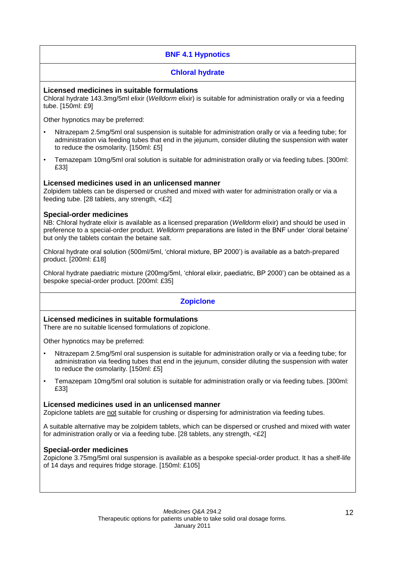### **BNF 4.1 Hypnotics**

### **Chloral hydrate**

### **Licensed medicines in suitable formulations**

Chloral hydrate 143.3mg/5ml elixir (*Welldorm* elixir) is suitable for administration orally or via a feeding tube. [150ml: £9]

Other hypnotics may be preferred:

- Nitrazepam 2.5mg/5ml oral suspension is suitable for administration orally or via a feeding tube; for administration via feeding tubes that end in the jejunum, consider diluting the suspension with water to reduce the osmolarity. [150ml: £5]
- Temazepam 10mg/5ml oral solution is suitable for administration orally or via feeding tubes. [300ml: £33]

### **Licensed medicines used in an unlicensed manner**

Zolpidem tablets can be dispersed or crushed and mixed with water for administration orally or via a feeding tube. [28 tablets, any strength, <£2]

### **Special-order medicines**

NB: Chloral hydrate elixir is available as a licensed preparation (*Welldorm* elixir) and should be used in preference to a special-order product. *Welldorm* preparations are listed in the BNF under 'cloral betaine' but only the tablets contain the betaine salt.

Chloral hydrate oral solution (500ml/5ml, 'chloral mixture, BP 2000') is available as a batch-prepared product. [200ml: £18]

Chloral hydrate paediatric mixture (200mg/5ml, 'chloral elixir, paediatric, BP 2000') can be obtained as a bespoke special-order product. [200ml: £35]

### **Zopiclone**

### **Licensed medicines in suitable formulations**

There are no suitable licensed formulations of zopiclone.

Other hypnotics may be preferred:

- Nitrazepam 2.5mg/5ml oral suspension is suitable for administration orally or via a feeding tube; for administration via feeding tubes that end in the jejunum, consider diluting the suspension with water to reduce the osmolarity. [150ml: £5]
- Temazepam 10mg/5ml oral solution is suitable for administration orally or via feeding tubes. [300ml: £33]

### **Licensed medicines used in an unlicensed manner**

Zopiclone tablets are not suitable for crushing or dispersing for administration via feeding tubes.

A suitable alternative may be zolpidem tablets, which can be dispersed or crushed and mixed with water for administration orally or via a feeding tube. [28 tablets, any strength, <£2]

### **Special-order medicines**

Zopiclone 3.75mg/5ml oral suspension is available as a bespoke special-order product. It has a shelf-life of 14 days and requires fridge storage. [150ml: £105]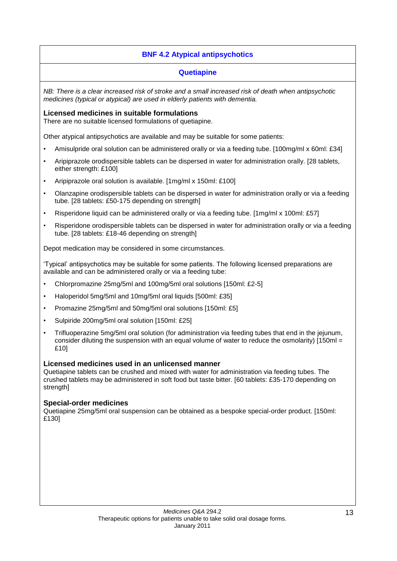## **BNF 4.2 Atypical antipsychotics**

### **Quetiapine**

*NB: There is a clear increased risk of stroke and a small increased risk of death when antipsychotic medicines (typical or atypical) are used in elderly patients with dementia.*

### **Licensed medicines in suitable formulations**

There are no suitable licensed formulations of quetiapine.

Other atypical antipsychotics are available and may be suitable for some patients:

- Amisulpride oral solution can be administered orally or via a feeding tube. [100mg/ml x 60ml: £34]
- Aripiprazole orodispersible tablets can be dispersed in water for administration orally. [28 tablets, either strength: £100]
- Aripiprazole oral solution is available. [1mg/ml x 150ml: £100]
- Olanzapine orodispersible tablets can be dispersed in water for administration orally or via a feeding tube. [28 tablets: £50-175 depending on strength]
- Risperidone liquid can be administered orally or via a feeding tube. [1mg/ml x 100ml: £57]
- Risperidone orodispersible tablets can be dispersed in water for administration orally or via a feeding tube. [28 tablets: £18-46 depending on strength]

Depot medication may be considered in some circumstances.

'Typical' antipsychotics may be suitable for some patients. The following licensed preparations are available and can be administered orally or via a feeding tube:

- Chlorpromazine 25mg/5ml and 100mg/5ml oral solutions [150ml: £2-5]
- Haloperidol 5mg/5ml and 10mg/5ml oral liquids [500ml: £35]
- Promazine 25mg/5ml and 50mg/5ml oral solutions [150ml: £5]
- Sulpiride 200mg/5ml oral solution [150ml: £25]
- Trifluoperazine 5mg/5ml oral solution (for administration via feeding tubes that end in the jejunum, consider diluting the suspension with an equal volume of water to reduce the osmolarity)  $[150m] =$ £10]

### **Licensed medicines used in an unlicensed manner**

Quetiapine tablets can be crushed and mixed with water for administration via feeding tubes. The crushed tablets may be administered in soft food but taste bitter. [60 tablets: £35-170 depending on strength]

### **Special-order medicines**

Quetiapine 25mg/5ml oral suspension can be obtained as a bespoke special-order product. [150ml: £130]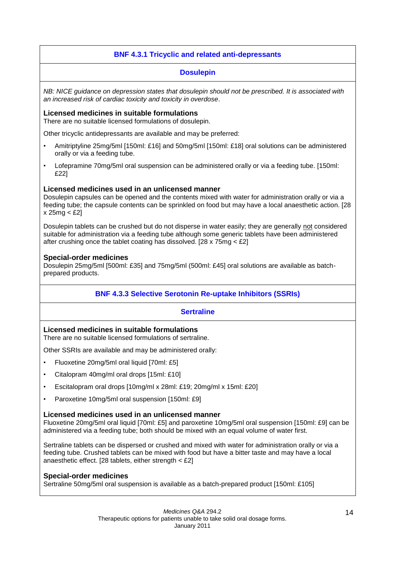### **BNF 4.3.1 Tricyclic and related anti-depressants**

### **Dosulepin**

*NB: NICE guidance on depression states that dosulepin should not be prescribed. It is associated with an increased risk of cardiac toxicity and toxicity in overdose*.

### **Licensed medicines in suitable formulations**

There are no suitable licensed formulations of dosulepin.

Other tricyclic antidepressants are available and may be preferred:

- Amitriptyline 25mg/5ml [150ml: £16] and 50mg/5ml [150ml: £18] oral solutions can be administered orally or via a feeding tube.
- Lofepramine 70mg/5ml oral suspension can be administered orally or via a feeding tube. [150ml: £22]

### **Licensed medicines used in an unlicensed manner**

Dosulepin capsules can be opened and the contents mixed with water for administration orally or via a feeding tube; the capsule contents can be sprinkled on food but may have a local anaesthetic action. [28 x 25mg < £2]

Dosulepin tablets can be crushed but do not disperse in water easily; they are generally not considered suitable for administration via a feeding tube although some generic tablets have been administered after crushing once the tablet coating has dissolved. [28 x 75mg < £2]

### **Special-order medicines**

Dosulepin 25mg/5ml [500ml: £35] and 75mg/5ml (500ml: £45] oral solutions are available as batchprepared products.

### **BNF 4.3.3 Selective Serotonin Re-uptake Inhibitors (SSRIs)**

### **Sertraline**

### **Licensed medicines in suitable formulations**

There are no suitable licensed formulations of sertraline.

Other SSRIs are available and may be administered orally:

- Fluoxetine 20mg/5ml oral liquid [70ml: £5]
- Citalopram 40mg/ml oral drops [15ml: £10]
- Escitalopram oral drops [10mg/ml x 28ml: £19; 20mg/ml x 15ml: £20]
- Paroxetine 10mg/5ml oral suspension [150ml: £9]

### **Licensed medicines used in an unlicensed manner**

Fluoxetine 20mg/5ml oral liquid [70ml: £5] and paroxetine 10mg/5ml oral suspension [150ml: £9] can be administered via a feeding tube; both should be mixed with an equal volume of water first.

Sertraline tablets can be dispersed or crushed and mixed with water for administration orally or via a feeding tube. Crushed tablets can be mixed with food but have a bitter taste and may have a local anaesthetic effect. [28 tablets, either strength  $<$  £2]

### **Special-order medicines**

Sertraline 50mg/5ml oral suspension is available as a batch-prepared product [150ml: £105]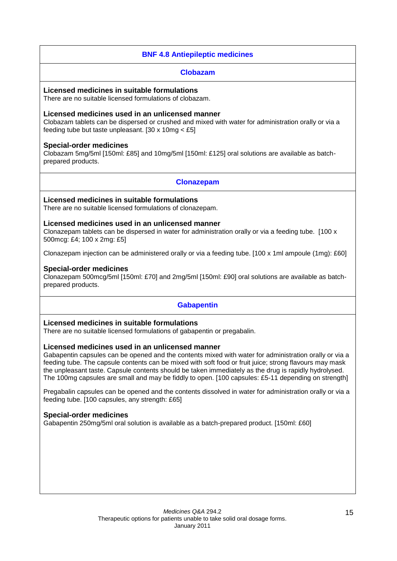### **BNF 4.8 Antiepileptic medicines**

### **Clobazam**

### **Licensed medicines in suitable formulations**

There are no suitable licensed formulations of clobazam.

### **Licensed medicines used in an unlicensed manner**

Clobazam tablets can be dispersed or crushed and mixed with water for administration orally or via a feeding tube but taste unpleasant. [30 x 10mg < £5]

### **Special-order medicines**

Clobazam 5mg/5ml [150ml: £85] and 10mg/5ml [150ml: £125] oral solutions are available as batchprepared products.

**Clonazepam**

### **Licensed medicines in suitable formulations**

There are no suitable licensed formulations of clonazepam.

### **Licensed medicines used in an unlicensed manner**

Clonazepam tablets can be dispersed in water for administration orally or via a feeding tube. [100 x 500mcg: £4; 100 x 2mg: £5]

Clonazepam injection can be administered orally or via a feeding tube. [100 x 1ml ampoule (1mg): £60]

### **Special-order medicines**

Clonazepam 500mcg/5ml [150ml: £70] and 2mg/5ml [150ml: £90] oral solutions are available as batchprepared products.

### **Gabapentin**

### **Licensed medicines in suitable formulations**

There are no suitable licensed formulations of gabapentin or pregabalin.

### **Licensed medicines used in an unlicensed manner**

Gabapentin capsules can be opened and the contents mixed with water for administration orally or via a feeding tube. The capsule contents can be mixed with soft food or fruit juice; strong flavours may mask the unpleasant taste. Capsule contents should be taken immediately as the drug is rapidly hydrolysed. The 100mg capsules are small and may be fiddly to open. [100 capsules: £5-11 depending on strength]

Pregabalin capsules can be opened and the contents dissolved in water for administration orally or via a feeding tube. [100 capsules, any strength: £65]

### **Special-order medicines**

Gabapentin 250mg/5ml oral solution is available as a batch-prepared product. [150ml: £60]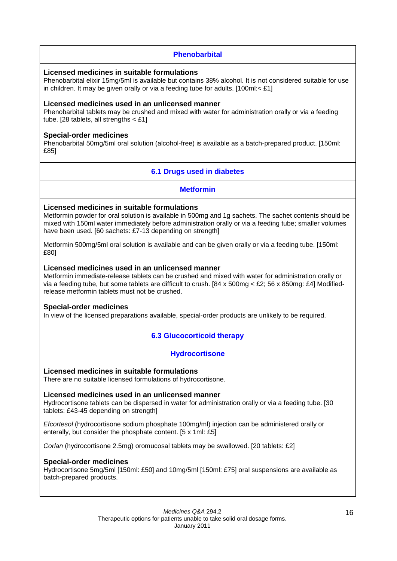### **Phenobarbital**

### **Licensed medicines in suitable formulations**

Phenobarbital elixir 15mg/5ml is available but contains 38% alcohol. It is not considered suitable for use in children. It may be given orally or via a feeding tube for adults. [100ml: $<$  £1]

### **Licensed medicines used in an unlicensed manner**

Phenobarbital tablets may be crushed and mixed with water for administration orally or via a feeding tube. [28 tablets, all strengths  $<$  £1]

### **Special-order medicines**

Phenobarbital 50mg/5ml oral solution (alcohol-free) is available as a batch-prepared product. [150ml: £85]

## **6.1 Drugs used in diabetes**

### **Metformin**

### **Licensed medicines in suitable formulations**

Metformin powder for oral solution is available in 500mg and 1g sachets. The sachet contents should be mixed with 150ml water immediately before administration orally or via a feeding tube; smaller volumes have been used. [60 sachets: £7-13 depending on strength]

Metformin 500mg/5ml oral solution is available and can be given orally or via a feeding tube. [150ml: £80]

### **Licensed medicines used in an unlicensed manner**

Metformin immediate-release tablets can be crushed and mixed with water for administration orally or via a feeding tube, but some tablets are difficult to crush. [84 x 500mg < £2; 56 x 850mg: £4] Modifiedrelease metformin tablets must not be crushed.

### **Special-order medicines**

In view of the licensed preparations available, special-order products are unlikely to be required.

## **6.3 Glucocorticoid therapy**

### **Hydrocortisone**

### **Licensed medicines in suitable formulations**

There are no suitable licensed formulations of hydrocortisone.

### **Licensed medicines used in an unlicensed manner**

Hydrocortisone tablets can be dispersed in water for administration orally or via a feeding tube. [30 tablets: £43-45 depending on strength]

*Efcortesol* (hydrocortisone sodium phosphate 100mg/ml) injection can be administered orally or enterally, but consider the phosphate content. [5 x 1ml: £5]

*Corlan* (hydrocortisone 2.5mg) oromucosal tablets may be swallowed. [20 tablets: £2]

### **Special-order medicines**

Hydrocortisone 5mg/5ml [150ml: £50] and 10mg/5ml [150ml: £75] oral suspensions are available as batch-prepared products.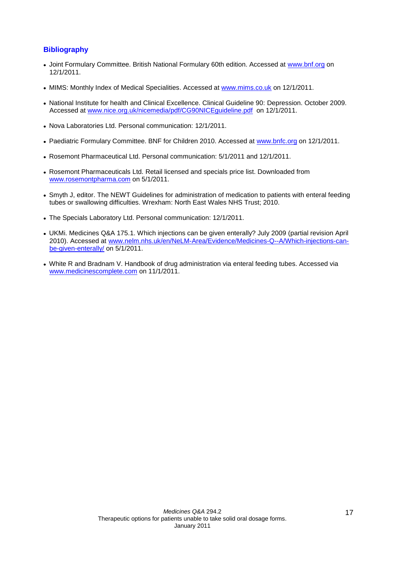### **Bibliography**

- Joint Formulary Committee. British National Formulary 60th edition. Accessed at [www.bnf.org](http://www.bnf.org/) on 12/1/2011.
- MIMS: Monthly Index of Medical Specialities. Accessed at [www.mims.co.uk](http://www.mims.co.uk/) on 12/1/2011.
- National Institute for health and Clinical Excellence. Clinical Guideline 90: Depression. October 2009. Accessed at [www.nice.org.uk/nicemedia/pdf/CG90NICEguideline.pdf](http://www.nice.org.uk/nicemedia/pdf/CG90NICEguideline.pdf) on 12/1/2011.
- Nova Laboratories Ltd. Personal communication: 12/1/2011.
- Paediatric Formulary Committee. BNF for Children 2010. Accessed at [www.bnfc.org](http://www.bnfc.org/) on 12/1/2011.
- Rosemont Pharmaceutical Ltd. Personal communication: 5/1/2011 and 12/1/2011.
- Rosemont Pharmaceuticals Ltd. Retail licensed and specials price list. Downloaded from [www.rosemontpharma.com](http://www.rosemontpharma.com/) on 5/1/2011.
- Smyth J, editor. The NEWT Guidelines for administration of medication to patients with enteral feeding tubes or swallowing difficulties. Wrexham: North East Wales NHS Trust; 2010.
- The Specials Laboratory Ltd. Personal communication: 12/1/2011.
- UKMi. Medicines Q&A 175.1. Which injections can be given enterally? July 2009 (partial revision April 2010). Accessed at [www.nelm.nhs.uk/en/NeLM-Area/Evidence/Medicines-Q--A/Which-injections-can](http://www.nelm.nhs.uk/en/NeLM-Area/Evidence/Medicines-Q--A/Which-injections-can-be-given-enterally/)[be-given-enterally/](http://www.nelm.nhs.uk/en/NeLM-Area/Evidence/Medicines-Q--A/Which-injections-can-be-given-enterally/) on 5/1/2011.
- White R and Bradnam V. Handbook of drug administration via enteral feeding tubes. Accessed via [www.medicinescomplete.com](http://www.medicinescomplete.com/) on 11/1/2011.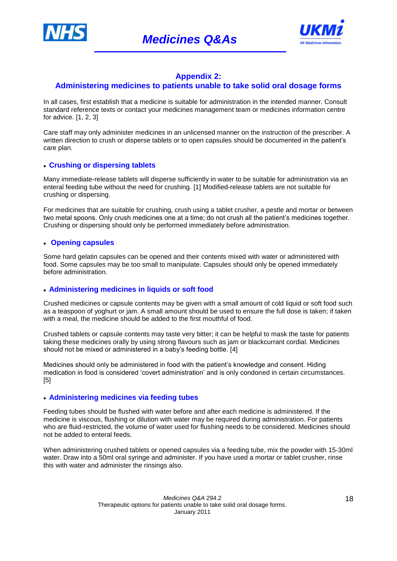



### **Appendix 2:**

### **Administering medicines to patients unable to take solid oral dosage forms**

In all cases, first establish that a medicine is suitable for administration in the intended manner. Consult standard reference texts or contact your medicines management team or medicines information centre for advice. [1, 2, 3]

Care staff may only administer medicines in an unlicensed manner on the instruction of the prescriber. A written direction to crush or disperse tablets or to open capsules should be documented in the patient's care plan.

### **Crushing or dispersing tablets**

Many immediate-release tablets will disperse sufficiently in water to be suitable for administration via an enteral feeding tube without the need for crushing. [1] Modified-release tablets are not suitable for crushing or dispersing.

For medicines that are suitable for crushing, crush using a tablet crusher, a pestle and mortar or between two metal spoons. Only crush medicines one at a time; do not crush all the patient's medicines together. Crushing or dispersing should only be performed immediately before administration.

#### **Opening capsules**

Some hard gelatin capsules can be opened and their contents mixed with water or administered with food. Some capsules may be too small to manipulate. Capsules should only be opened immediately before administration.

### **Administering medicines in liquids or soft food**

Crushed medicines or capsule contents may be given with a small amount of cold liquid or soft food such as a teaspoon of yoghurt or jam. A small amount should be used to ensure the full dose is taken; if taken with a meal, the medicine should be added to the first mouthful of food.

Crushed tablets or capsule contents may taste very bitter; it can be helpful to mask the taste for patients taking these medicines orally by using strong flavours such as jam or blackcurrant cordial. Medicines should not be mixed or administered in a baby's feeding bottle. [4]

Medicines should only be administered in food with the patient's knowledge and consent. Hiding medication in food is considered 'covert administration' and is only condoned in certain circumstances. [5]

### **Administering medicines via feeding tubes**

Feeding tubes should be flushed with water before and after each medicine is administered. If the medicine is viscous, flushing or dilution with water may be required during administration. For patients who are fluid-restricted, the volume of water used for flushing needs to be considered. Medicines should not be added to enteral feeds.

When administering crushed tablets or opened capsules via a feeding tube, mix the powder with 15-30ml water. Draw into a 50ml oral syringe and administer. If you have used a mortar or tablet crusher, rinse this with water and administer the rinsings also.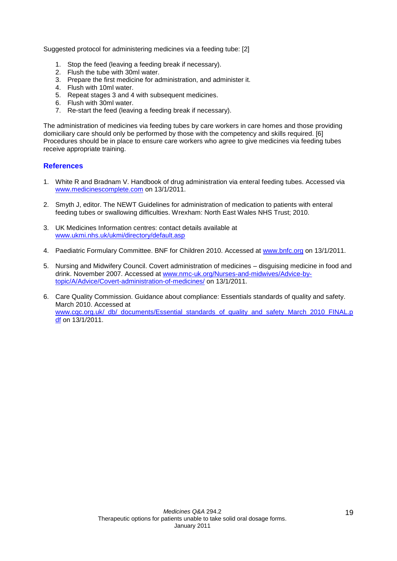Suggested protocol for administering medicines via a feeding tube: [2]

- 1. Stop the feed (leaving a feeding break if necessary).
- 2. Flush the tube with 30ml water.
- 3. Prepare the first medicine for administration, and administer it.
- 4. Flush with 10ml water.
- 5. Repeat stages 3 and 4 with subsequent medicines.
- 6. Flush with 30ml water.
- 7. Re-start the feed (leaving a feeding break if necessary).

The administration of medicines via feeding tubes by care workers in care homes and those providing domiciliary care should only be performed by those with the competency and skills required. [6] Procedures should be in place to ensure care workers who agree to give medicines via feeding tubes receive appropriate training.

### **References**

- 1. White R and Bradnam V. Handbook of drug administration via enteral feeding tubes. Accessed via [www.medicinescomplete.com](http://www.medicinescomplete.com/) on 13/1/2011.
- 2. Smyth J, editor. The NEWT Guidelines for administration of medication to patients with enteral feeding tubes or swallowing difficulties. Wrexham: North East Wales NHS Trust; 2010.
- 3. UK Medicines Information centres: contact details available at [www.ukmi.nhs.uk/ukmi/directory/default.asp](http://www.ukmi.nhs.uk/ukmi/directory/default.asp)
- 4. Paediatric Formulary Committee. BNF for Children 2010. Accessed at [www.bnfc.org](http://www.bnfc.org/) on 13/1/2011.
- 5. Nursing and Midwifery Council. Covert administration of medicines disguising medicine in food and drink. November 2007. Accessed at [www.nmc-uk.org/Nurses-and-midwives/Advice-by](http://www.nmc-uk.org/Nurses-and-midwives/Advice-by-topic/A/Advice/Covert-administration-of-medicines/)[topic/A/Advice/Covert-administration-of-medicines/](http://www.nmc-uk.org/Nurses-and-midwives/Advice-by-topic/A/Advice/Covert-administration-of-medicines/) on 13/1/2011.
- 6. Care Quality Commission. Guidance about compliance: Essentials standards of quality and safety. March 2010. Accessed at www.cgc.org.uk/\_db/\_documents/Essential\_standards\_of\_quality\_and\_safety\_March\_2010\_FINAL.p [df](http://www.cqc.org.uk/_db/_documents/Essential_standards_of_quality_and_safety_March_2010_FINAL.pdf) on 13/1/2011.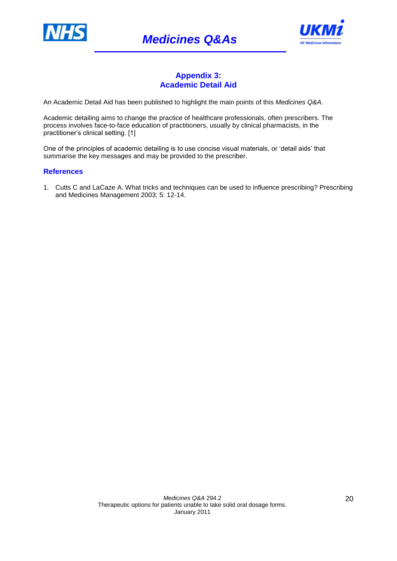

 *Medicines Q&As*



### **Appendix 3: Academic Detail Aid**

An Academic Detail Aid has been published to highlight the main points of this *Medicines Q&A*.

Academic detailing aims to change the practice of healthcare professionals, often prescribers. The process involves face-to-face education of practitioners, usually by clinical pharmacists, in the practitioner's clinical setting. [1]

One of the principles of academic detailing is to use concise visual materials, or 'detail aids' that summarise the key messages and may be provided to the prescriber.

### **References**

1. Cutts C and LaCaze A. What tricks and techniques can be used to influence prescribing? Prescribing and Medicines Management 2003; 5: 12-14.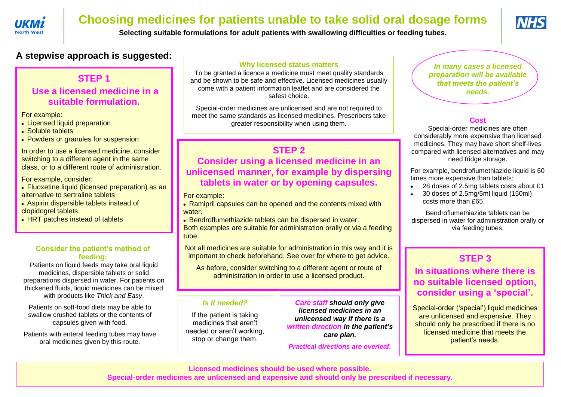

# **Choosing medicines for patients unable to take solid oral dosage forms**

**Selecting suitable formulations for adult patients with swallowing difficulties or feeding tubes.**



# **A stepwise approach is suggested:**

# **STEP 1**

# **Use a licensed medicine in a suitable formulation.**

For example:

- Licensed liquid preparation
- Soluble tablets
- Powders or granules for suspension

In order to use a licensed medicine, consider switching to a different agent in the same class, or to a different route of administration.

For example, consider:

- Fluoxetine liquid (licensed preparation) as an alternative to sertraline tablets
- Aspirin dispersible tablets instead of clopidogrel tablets.
- HRT patches instead of tablets

### **Consider the patient's method of feeding:**

Patients on liquid feeds may take oral liquid medicines, dispersible tablets or solid preparations dispersed in water. For patients on thickened fluids, liquid medicines can be mixed with products like *Thick and Easy*.

Patients on soft-food diets may be able to swallow crushed tablets or the contents of capsules given with food.

Patients with enteral feeding tubes may have oral medicines given by this route.

### **Why licensed status matters**

To be granted a licence a medicine must meet quality standards and be shown to be safe and effective. Licensed medicines usually come with a patient information leaflet and are considered the safest choice.

Special-order medicines are unlicensed and are not required to meet the same standards as licensed medicines. Prescribers take greater responsibility when using them.

# **STEP 2 Consider using a licensed medicine in an unlicensed manner, for example by dispersing tablets in water or by opening capsules.**

### For example:

• Ramipril capsules can be opened and the contents mixed with water.

• Bendroflumethiazide tablets can be dispersed in water.

Both examples are suitable for administration orally or via a feeding tube.

Not all medicines are suitable for administration in this way and it is important to check beforehand. See over for where to get advice.

As before, consider switching to a different agent or route of administration in order to use a licensed product.

### *Is it needed?*

If the patient is taking medicines that aren't needed or aren't working, stop or change them.

*Care staff should only give licensed medicines in an unlicensed way if there is a written direction in the patient's care plan.*

*Practical directions are overleaf.*

*In many cases a licensed preparation will be available that meets the patient's needs.*

## **Cost**

Special-order medicines are often considerably more expensive than licensed medicines. They may have short shelf-lives compared with licensed alternatives and may need fridge storage.

For example, bendroflumethiazide liquid is 60 times more expensive than tablets:

- 28 doses of 2.5mg tablets costs about £1
- 30 doses of 2.5mg/5ml liquid (150ml) costs more than £65.

Bendroflumethiazide tablets can be dispersed in water for administration orally or via feeding tubes.

# **STEP 3**

**In situations where there is no suitable licensed option, consider using a 'special'.**

Special-order ('special') liquid medicines are unlicensed and expensive. They should only be prescribed if there is no licensed medicine that meets the patient's needs.

**Licensed medicines should be used where possible. Special-order medicines are unlicensed and expensive and should only be prescribed if necessary.**